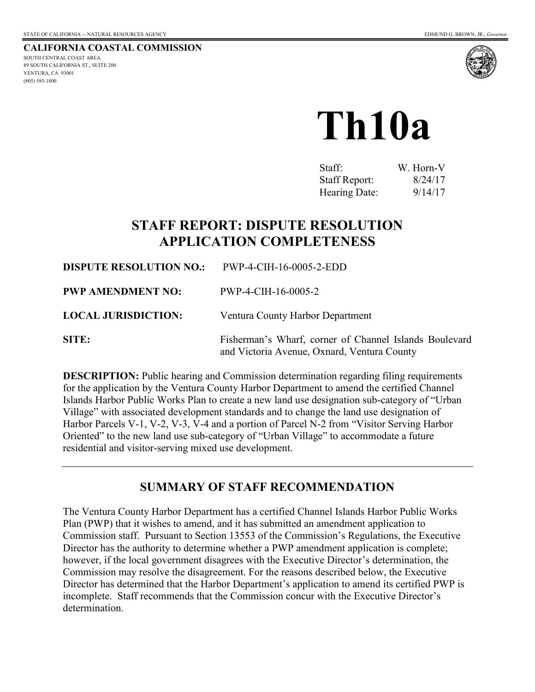**CALIFORNIA COASTAL COMMISSION**  SOUTH CENTRAL COAST AREA 89 SOUTH CALIFORNIA ST., SUITE 200 VENTURA, CA 93001 (805) 585-1800



# **Th10a**

| Staff:               | W. Horn-V |
|----------------------|-----------|
| <b>Staff Report:</b> | 8/24/17   |
| Hearing Date:        | 9/14/17   |

# **STAFF REPORT: DISPUTE RESOLUTION APPLICATION COMPLETENESS**

**DISPUTE RESOLUTION NO.:** PWP-4-CIH-16-0005-2-EDD **PWP AMENDMENT NO:** PWP-4-CIH-16-0005-2 **LOCAL JURISDICTION:** Ventura County Harbor Department **SITE:** Fisherman's Wharf, corner of Channel Islands Boulevard and Victoria Avenue, Oxnard, Ventura County

**DESCRIPTION:** Public hearing and Commission determination regarding filing requirements for the application by the Ventura County Harbor Department to amend the certified Channel Islands Harbor Public Works Plan to create a new land use designation sub-category of "Urban Village" with associated development standards and to change the land use designation of Harbor Parcels V-1, V-2, V-3, V-4 and a portion of Parcel N-2 from "Visitor Serving Harbor Oriented" to the new land use sub-category of "Urban Village" to accommodate a future residential and visitor-serving mixed use development.

## **SUMMARY OF STAFF RECOMMENDATION**

The Ventura County Harbor Department has a certified Channel Islands Harbor Public Works Plan (PWP) that it wishes to amend, and it has submitted an amendment application to Commission staff. Pursuant to Section 13553 of the Commission's Regulations, the Executive Director has the authority to determine whether a PWP amendment application is complete; however, if the local government disagrees with the Executive Director's determination, the Commission may resolve the disagreement. For the reasons described below, the Executive Director has determined that the Harbor Department's application to amend its certified PWP is incomplete. Staff recommends that the Commission concur with the Executive Director's determination.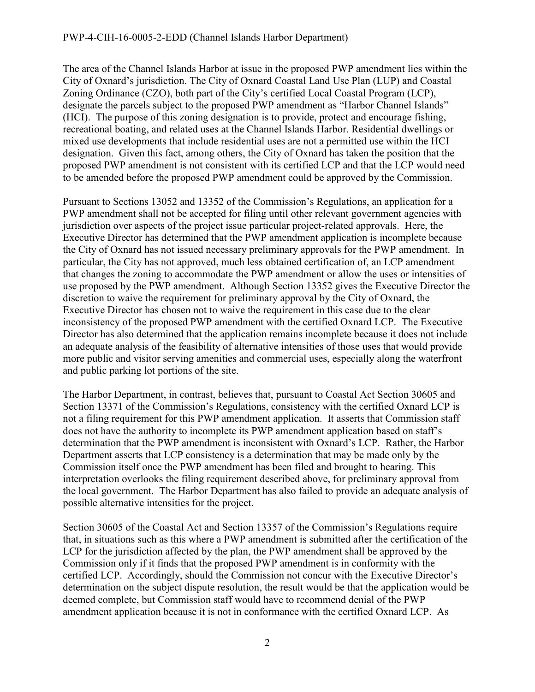#### PWP-4-CIH-16-0005-2-EDD (Channel Islands Harbor Department)

The area of the Channel Islands Harbor at issue in the proposed PWP amendment lies within the City of Oxnard's jurisdiction. The City of Oxnard Coastal Land Use Plan (LUP) and Coastal Zoning Ordinance (CZO), both part of the City's certified Local Coastal Program (LCP), designate the parcels subject to the proposed PWP amendment as "Harbor Channel Islands" (HCI). The purpose of this zoning designation is to provide, protect and encourage fishing, recreational boating, and related uses at the Channel Islands Harbor. Residential dwellings or mixed use developments that include residential uses are not a permitted use within the HCI designation. Given this fact, among others, the City of Oxnard has taken the position that the proposed PWP amendment is not consistent with its certified LCP and that the LCP would need to be amended before the proposed PWP amendment could be approved by the Commission.

Pursuant to Sections 13052 and 13352 of the Commission's Regulations, an application for a PWP amendment shall not be accepted for filing until other relevant government agencies with jurisdiction over aspects of the project issue particular project-related approvals. Here, the Executive Director has determined that the PWP amendment application is incomplete because the City of Oxnard has not issued necessary preliminary approvals for the PWP amendment. In particular, the City has not approved, much less obtained certification of, an LCP amendment that changes the zoning to accommodate the PWP amendment or allow the uses or intensities of use proposed by the PWP amendment. Although Section 13352 gives the Executive Director the discretion to waive the requirement for preliminary approval by the City of Oxnard, the Executive Director has chosen not to waive the requirement in this case due to the clear inconsistency of the proposed PWP amendment with the certified Oxnard LCP. The Executive Director has also determined that the application remains incomplete because it does not include an adequate analysis of the feasibility of alternative intensities of those uses that would provide more public and visitor serving amenities and commercial uses, especially along the waterfront and public parking lot portions of the site.

The Harbor Department, in contrast, believes that, pursuant to Coastal Act Section 30605 and Section 13371 of the Commission's Regulations, consistency with the certified Oxnard LCP is not a filing requirement for this PWP amendment application. It asserts that Commission staff does not have the authority to incomplete its PWP amendment application based on staff's determination that the PWP amendment is inconsistent with Oxnard's LCP. Rather, the Harbor Department asserts that LCP consistency is a determination that may be made only by the Commission itself once the PWP amendment has been filed and brought to hearing. This interpretation overlooks the filing requirement described above, for preliminary approval from the local government. The Harbor Department has also failed to provide an adequate analysis of possible alternative intensities for the project.

Section 30605 of the Coastal Act and Section 13357 of the Commission's Regulations require that, in situations such as this where a PWP amendment is submitted after the certification of the LCP for the jurisdiction affected by the plan, the PWP amendment shall be approved by the Commission only if it finds that the proposed PWP amendment is in conformity with the certified LCP. Accordingly, should the Commission not concur with the Executive Director's determination on the subject dispute resolution, the result would be that the application would be deemed complete, but Commission staff would have to recommend denial of the PWP amendment application because it is not in conformance with the certified Oxnard LCP. As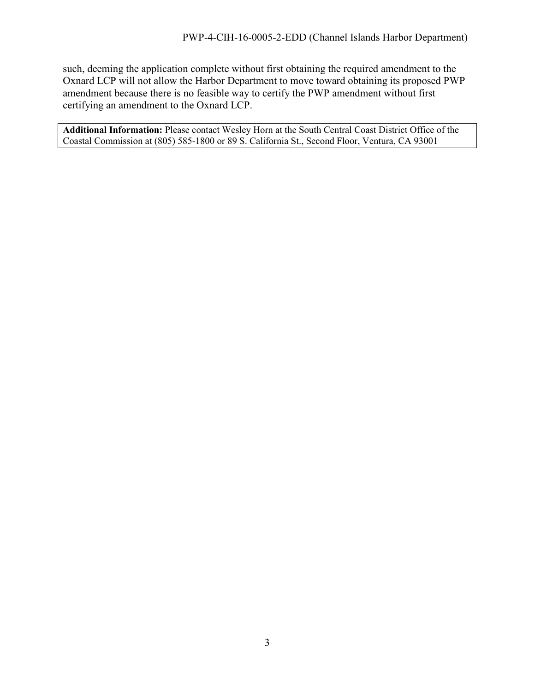such, deeming the application complete without first obtaining the required amendment to the Oxnard LCP will not allow the Harbor Department to move toward obtaining its proposed PWP amendment because there is no feasible way to certify the PWP amendment without first certifying an amendment to the Oxnard LCP.

**Additional Information:** Please contact Wesley Horn at the South Central Coast District Office of the Coastal Commission at (805) 585-1800 or 89 S. California St., Second Floor, Ventura, CA 93001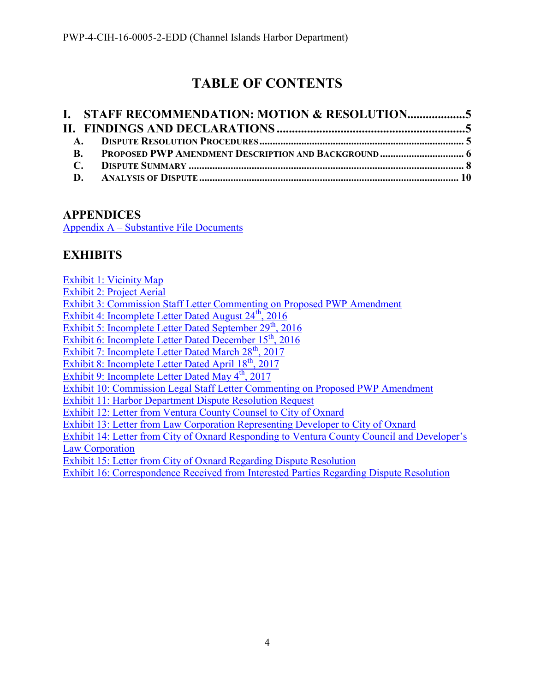# **TABLE OF CONTENTS**

| $\mathbf{R}$ . |  |  |
|----------------|--|--|
|                |  |  |
|                |  |  |

## **APPENDICES**

[Appendix A – Substantive File Documents](#page-15-0)

## **EXHIBITS**

[Exhibit 1: Vicinity Map](https://documents.coastal.ca.gov/reports/2017/9/th10a/th10a-9-2017-exhibits.pdf)

[Exhibit 2: Project Aerial](https://documents.coastal.ca.gov/reports/2017/9/th10a/th10a-9-2017-exhibits.pdf)

[Exhibit 3: Commission Staff Letter Commenting on Proposed PWP Amendment](https://documents.coastal.ca.gov/reports/2017/9/th10a/th10a-9-2017-exhibits.pdf)

Exhibit 4: Incomplete Letter Dated August  $24^{\text{th}}$ ,  $2016$ 

Exhibit 5: Incomplete Letter Dated September  $29<sup>th</sup>$ , 2016

[Exhibit 6: Incomplete Letter Dated December 15](https://documents.coastal.ca.gov/reports/2017/9/th10a/th10a-9-2017-exhibits.pdf)<sup>th</sup>, 2016

Exhibit 7: Incomplete Letter Dated March  $28<sup>th</sup>$ , 2017

Exhibit 8: Incomplete Letter Dated April  $18^{th}$ , 2017

[Exhibit 9: Incomplete Letter Dated May 4](https://documents.coastal.ca.gov/reports/2017/9/th10a/th10a-9-2017-exhibits.pdf)<sup>th</sup>, 2017

[Exhibit 10: Commission Legal Staff Letter Commenting on Proposed PWP Amendment](https://documents.coastal.ca.gov/reports/2017/9/th10a/th10a-9-2017-exhibits.pdf)

[Exhibit 11: Harbor Department Dispute Resolution Request](https://documents.coastal.ca.gov/reports/2017/9/th10a/th10a-9-2017-exhibits.pdf)

[Exhibit 12: Letter from Ventura County Counsel to City of Oxnard](https://documents.coastal.ca.gov/reports/2017/9/th10a/th10a-9-2017-exhibits.pdf)

[Exhibit 13: Letter from Law Corporation Representing Developer to City of Oxnard](https://documents.coastal.ca.gov/reports/2017/9/th10a/th10a-9-2017-exhibits.pdf)

[Exhibit 14: Letter from City of Oxnard Responding to Ventura County Council and Developer's](https://documents.coastal.ca.gov/reports/2017/9/th10a/th10a-9-2017-exhibits.pdf)  [Law Corporation](https://documents.coastal.ca.gov/reports/2017/9/th10a/th10a-9-2017-exhibits.pdf)

[Exhibit 15: Letter from City of Oxnard Regarding Dispute Resolution](https://documents.coastal.ca.gov/reports/2017/9/th10a/th10a-9-2017-exhibits.pdf)

[Exhibit 16: Correspondence Received from Interested Parties Regarding Dispute Resolution](https://documents.coastal.ca.gov/reports/2017/9/th10a/th10a-9-2017-exhibits.pdf)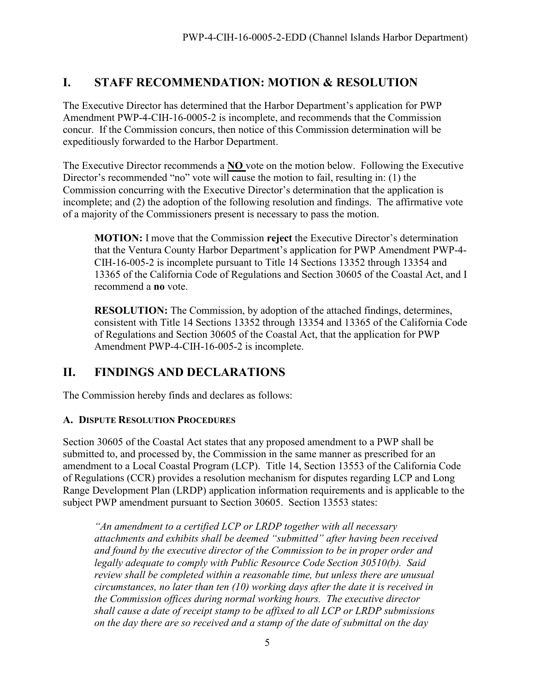## <span id="page-4-0"></span>**I. STAFF RECOMMENDATION: MOTION & RESOLUTION**

The Executive Director has determined that the Harbor Department's application for PWP Amendment PWP-4-CIH-16-0005-2 is incomplete, and recommends that the Commission concur. If the Commission concurs, then notice of this Commission determination will be expeditiously forwarded to the Harbor Department.

The Executive Director recommends a **NO** vote on the motion below. Following the Executive Director's recommended "no" vote will cause the motion to fail, resulting in: (1) the Commission concurring with the Executive Director's determination that the application is incomplete; and (2) the adoption of the following resolution and findings. The affirmative vote of a majority of the Commissioners present is necessary to pass the motion.

**MOTION:** I move that the Commission **reject** the Executive Director's determination that the Ventura County Harbor Department's application for PWP Amendment PWP-4- CIH-16-005-2 is incomplete pursuant to Title 14 Sections 13352 through 13354 and 13365 of the California Code of Regulations and Section 30605 of the Coastal Act, and I recommend a **no** vote.

**RESOLUTION:** The Commission, by adoption of the attached findings, determines, consistent with Title 14 Sections 13352 through 13354 and 13365 of the California Code of Regulations and Section 30605 of the Coastal Act, that the application for PWP Amendment PWP-4-CIH-16-005-2 is incomplete.

## <span id="page-4-1"></span>**II. FINDINGS AND DECLARATIONS**

The Commission hereby finds and declares as follows:

#### <span id="page-4-2"></span>**A. DISPUTE RESOLUTION PROCEDURES**

Section 30605 of the Coastal Act states that any proposed amendment to a PWP shall be submitted to, and processed by, the Commission in the same manner as prescribed for an amendment to a Local Coastal Program (LCP). Title 14, Section 13553 of the California Code of Regulations (CCR) provides a resolution mechanism for disputes regarding LCP and Long Range Development Plan (LRDP) application information requirements and is applicable to the subject PWP amendment pursuant to Section 30605. Section 13553 states:

*"An amendment to a certified LCP or LRDP together with all necessary attachments and exhibits shall be deemed "submitted" after having been received and found by the executive director of the Commission to be in proper order and legally adequate to comply with Public Resource Code Section 30510(b). Said review shall be completed within a reasonable time, but unless there are unusual circumstances, no later than ten (10) working days after the date it is received in the Commission offices during normal working hours. The executive director shall cause a date of receipt stamp to be affixed to all LCP or LRDP submissions on the day there are so received and a stamp of the date of submittal on the day*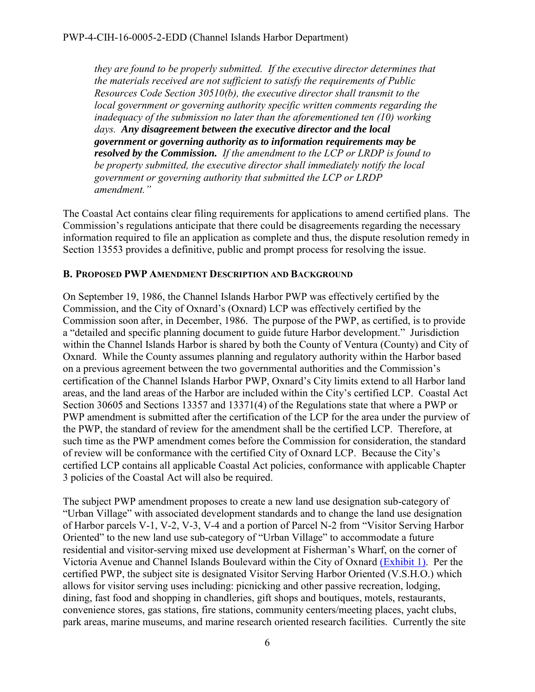*they are found to be properly submitted. If the executive director determines that the materials received are not sufficient to satisfy the requirements of Public Resources Code Section 30510(b), the executive director shall transmit to the local government or governing authority specific written comments regarding the inadequacy of the submission no later than the aforementioned ten (10) working days. Any disagreement between the executive director and the local government or governing authority as to information requirements may be resolved by the Commission. If the amendment to the LCP or LRDP is found to be property submitted, the executive director shall immediately notify the local government or governing authority that submitted the LCP or LRDP amendment."* 

The Coastal Act contains clear filing requirements for applications to amend certified plans. The Commission's regulations anticipate that there could be disagreements regarding the necessary information required to file an application as complete and thus, the dispute resolution remedy in Section 13553 provides a definitive, public and prompt process for resolving the issue.

#### <span id="page-5-0"></span>**B. PROPOSED PWP AMENDMENT DESCRIPTION AND BACKGROUND**

On September 19, 1986, the Channel Islands Harbor PWP was effectively certified by the Commission, and the City of Oxnard's (Oxnard) LCP was effectively certified by the Commission soon after, in December, 1986. The purpose of the PWP, as certified, is to provide a "detailed and specific planning document to guide future Harbor development." Jurisdiction within the Channel Islands Harbor is shared by both the County of Ventura (County) and City of Oxnard. While the County assumes planning and regulatory authority within the Harbor based on a previous agreement between the two governmental authorities and the Commission's certification of the Channel Islands Harbor PWP, Oxnard's City limits extend to all Harbor land areas, and the land areas of the Harbor are included within the City's certified LCP. Coastal Act Section 30605 and Sections 13357 and 13371(4) of the Regulations state that where a PWP or PWP amendment is submitted after the certification of the LCP for the area under the purview of the PWP, the standard of review for the amendment shall be the certified LCP. Therefore, at such time as the PWP amendment comes before the Commission for consideration, the standard of review will be conformance with the certified City of Oxnard LCP. Because the City's certified LCP contains all applicable Coastal Act policies, conformance with applicable Chapter 3 policies of the Coastal Act will also be required.

The subject PWP amendment proposes to create a new land use designation sub-category of "Urban Village" with associated development standards and to change the land use designation of Harbor parcels V-1, V-2, V-3, V-4 and a portion of Parcel N-2 from "Visitor Serving Harbor Oriented" to the new land use sub-category of "Urban Village" to accommodate a future residential and visitor-serving mixed use development at Fisherman's Wharf, on the corner of Victoria Avenue and Channel Islands Boulevard within the City of Oxnard [\(Exhibit 1\).](https://documents.coastal.ca.gov/reports/2017/9/th10a/th10a-9-2017-exhibits.pdf) Per the certified PWP, the subject site is designated Visitor Serving Harbor Oriented (V.S.H.O.) which allows for visitor serving uses including: picnicking and other passive recreation, lodging, dining, fast food and shopping in chandleries, gift shops and boutiques, motels, restaurants, convenience stores, gas stations, fire stations, community centers/meeting places, yacht clubs, park areas, marine museums, and marine research oriented research facilities. Currently the site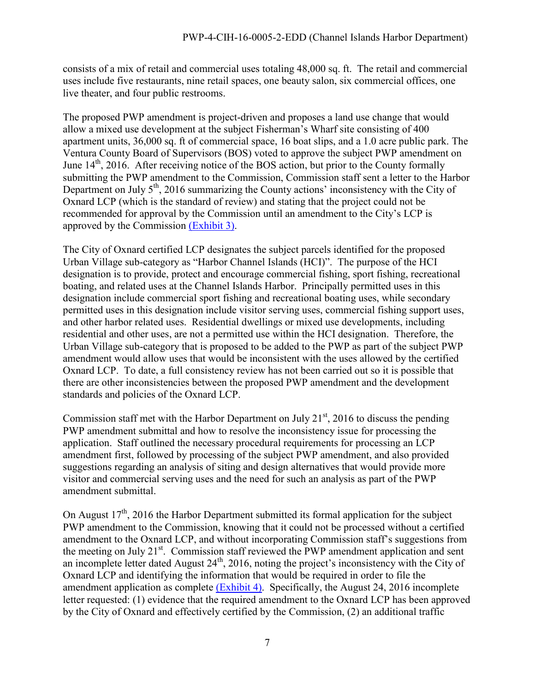consists of a mix of retail and commercial uses totaling 48,000 sq. ft. The retail and commercial uses include five restaurants, nine retail spaces, one beauty salon, six commercial offices, one live theater, and four public restrooms.

The proposed PWP amendment is project-driven and proposes a land use change that would allow a mixed use development at the subject Fisherman's Wharf site consisting of 400 apartment units, 36,000 sq. ft of commercial space, 16 boat slips, and a 1.0 acre public park. The Ventura County Board of Supervisors (BOS) voted to approve the subject PWP amendment on June  $14<sup>th</sup>$ , 2016. After receiving notice of the BOS action, but prior to the County formally submitting the PWP amendment to the Commission, Commission staff sent a letter to the Harbor Department on July 5<sup>th</sup>, 2016 summarizing the County actions' inconsistency with the City of Oxnard LCP (which is the standard of review) and stating that the project could not be recommended for approval by the Commission until an amendment to the City's LCP is approved by the Commission [\(Exhibit 3\).](https://documents.coastal.ca.gov/reports/2017/9/th10a/th10a-9-2017-exhibits.pdf)

The City of Oxnard certified LCP designates the subject parcels identified for the proposed Urban Village sub-category as "Harbor Channel Islands (HCI)". The purpose of the HCI designation is to provide, protect and encourage commercial fishing, sport fishing, recreational boating, and related uses at the Channel Islands Harbor. Principally permitted uses in this designation include commercial sport fishing and recreational boating uses, while secondary permitted uses in this designation include visitor serving uses, commercial fishing support uses, and other harbor related uses. Residential dwellings or mixed use developments, including residential and other uses, are not a permitted use within the HCI designation. Therefore, the Urban Village sub-category that is proposed to be added to the PWP as part of the subject PWP amendment would allow uses that would be inconsistent with the uses allowed by the certified Oxnard LCP. To date, a full consistency review has not been carried out so it is possible that there are other inconsistencies between the proposed PWP amendment and the development standards and policies of the Oxnard LCP.

Commission staff met with the Harbor Department on July  $21<sup>st</sup>$ , 2016 to discuss the pending PWP amendment submittal and how to resolve the inconsistency issue for processing the application. Staff outlined the necessary procedural requirements for processing an LCP amendment first, followed by processing of the subject PWP amendment, and also provided suggestions regarding an analysis of siting and design alternatives that would provide more visitor and commercial serving uses and the need for such an analysis as part of the PWP amendment submittal.

On August  $17<sup>th</sup>$ , 2016 the Harbor Department submitted its formal application for the subject PWP amendment to the Commission, knowing that it could not be processed without a certified amendment to the Oxnard LCP, and without incorporating Commission staff's suggestions from the meeting on July 21<sup>st</sup>. Commission staff reviewed the PWP amendment application and sent an incomplete letter dated August  $24<sup>th</sup>$ , 2016, noting the project's inconsistency with the City of Oxnard LCP and identifying the information that would be required in order to file the amendment application as complete [\(Exhibit 4\).](https://documents.coastal.ca.gov/reports/2017/9/th10a/th10a-9-2017-exhibits.pdf) Specifically, the August 24, 2016 incomplete letter requested: (1) evidence that the required amendment to the Oxnard LCP has been approved by the City of Oxnard and effectively certified by the Commission, (2) an additional traffic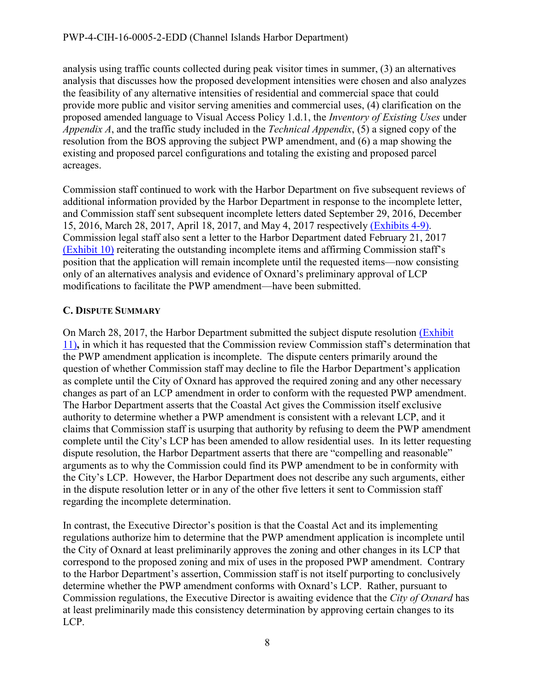analysis using traffic counts collected during peak visitor times in summer, (3) an alternatives analysis that discusses how the proposed development intensities were chosen and also analyzes the feasibility of any alternative intensities of residential and commercial space that could provide more public and visitor serving amenities and commercial uses, (4) clarification on the proposed amended language to Visual Access Policy 1.d.1, the *Inventory of Existing Uses* under *Appendix A*, and the traffic study included in the *Technical Appendix*, (5) a signed copy of the resolution from the BOS approving the subject PWP amendment, and (6) a map showing the existing and proposed parcel configurations and totaling the existing and proposed parcel acreages.

Commission staff continued to work with the Harbor Department on five subsequent reviews of additional information provided by the Harbor Department in response to the incomplete letter, and Commission staff sent subsequent incomplete letters dated September 29, 2016, December 15, 2016, March 28, 2017, April 18, 2017, and May 4, 2017 respectively [\(Exhibits 4-9\).](https://documents.coastal.ca.gov/reports/2017/9/th10a/th10a-9-2017-exhibits.pdf) Commission legal staff also sent a letter to the Harbor Department dated February 21, 2017 [\(Exhibit 10\)](https://documents.coastal.ca.gov/reports/2017/9/th10a/th10a-9-2017-exhibits.pdf) reiterating the outstanding incomplete items and affirming Commission staff's position that the application will remain incomplete until the requested items—now consisting only of an alternatives analysis and evidence of Oxnard's preliminary approval of LCP modifications to facilitate the PWP amendment—have been submitted.

### <span id="page-7-0"></span>**C. DISPUTE SUMMARY**

On March 28, 2017, the Harbor Department submitted the subject dispute resolution [\(Exhibit](https://documents.coastal.ca.gov/reports/2017/9/th10a/th10a-9-2017-exhibits.pdf)  [11\)](https://documents.coastal.ca.gov/reports/2017/9/th10a/th10a-9-2017-exhibits.pdf)**,** in which it has requested that the Commission review Commission staff's determination that the PWP amendment application is incomplete. The dispute centers primarily around the question of whether Commission staff may decline to file the Harbor Department's application as complete until the City of Oxnard has approved the required zoning and any other necessary changes as part of an LCP amendment in order to conform with the requested PWP amendment. The Harbor Department asserts that the Coastal Act gives the Commission itself exclusive authority to determine whether a PWP amendment is consistent with a relevant LCP, and it claims that Commission staff is usurping that authority by refusing to deem the PWP amendment complete until the City's LCP has been amended to allow residential uses. In its letter requesting dispute resolution, the Harbor Department asserts that there are "compelling and reasonable" arguments as to why the Commission could find its PWP amendment to be in conformity with the City's LCP. However, the Harbor Department does not describe any such arguments, either in the dispute resolution letter or in any of the other five letters it sent to Commission staff regarding the incomplete determination.

In contrast, the Executive Director's position is that the Coastal Act and its implementing regulations authorize him to determine that the PWP amendment application is incomplete until the City of Oxnard at least preliminarily approves the zoning and other changes in its LCP that correspond to the proposed zoning and mix of uses in the proposed PWP amendment. Contrary to the Harbor Department's assertion, Commission staff is not itself purporting to conclusively determine whether the PWP amendment conforms with Oxnard's LCP. Rather, pursuant to Commission regulations, the Executive Director is awaiting evidence that the *City of Oxnard* has at least preliminarily made this consistency determination by approving certain changes to its LCP.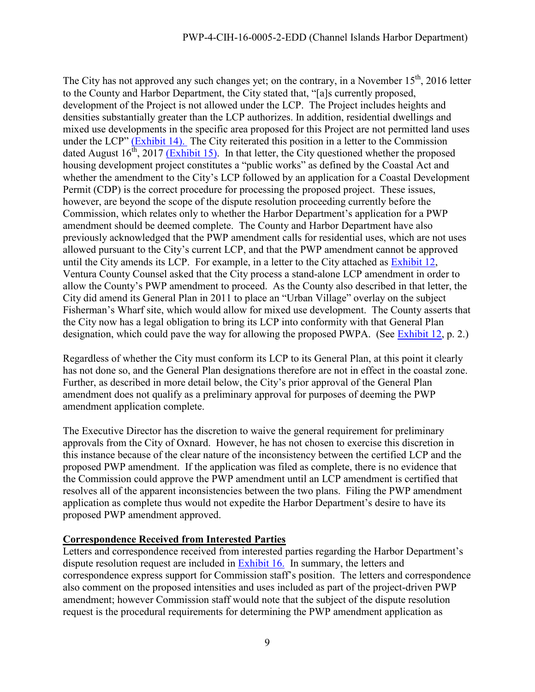The City has not approved any such changes yet; on the contrary, in a November  $15<sup>th</sup>$ , 2016 letter to the County and Harbor Department, the City stated that, "[a]s currently proposed, development of the Project is not allowed under the LCP. The Project includes heights and densities substantially greater than the LCP authorizes. In addition, residential dwellings and mixed use developments in the specific area proposed for this Project are not permitted land uses under the LCP" [\(Exhibit 14\).](https://documents.coastal.ca.gov/reports/2017/9/th10a/th10a-9-2017-exhibits.pdf) The City reiterated this position in a letter to the Commission dated August  $16^{th}$ , 2017 [\(Exhibit 15\).](https://documents.coastal.ca.gov/reports/2017/9/th10a/th10a-9-2017-exhibits.pdf) In that letter, the City questioned whether the proposed housing development project constitutes a "public works" as defined by the Coastal Act and whether the amendment to the City's LCP followed by an application for a Coastal Development Permit (CDP) is the correct procedure for processing the proposed project. These issues, however, are beyond the scope of the dispute resolution proceeding currently before the Commission, which relates only to whether the Harbor Department's application for a PWP amendment should be deemed complete. The County and Harbor Department have also previously acknowledged that the PWP amendment calls for residential uses, which are not uses allowed pursuant to the City's current LCP, and that the PWP amendment cannot be approved until the City amends its LCP. For example, in a letter to the City attached as [Exhibit 12,](https://documents.coastal.ca.gov/reports/2017/9/th10a/th10a-9-2017-exhibits.pdf) Ventura County Counsel asked that the City process a stand-alone LCP amendment in order to allow the County's PWP amendment to proceed. As the County also described in that letter, the City did amend its General Plan in 2011 to place an "Urban Village" overlay on the subject Fisherman's Wharf site, which would allow for mixed use development. The County asserts that the City now has a legal obligation to bring its LCP into conformity with that General Plan designation, which could pave the way for allowing the proposed PWPA. (See [Exhibit 12,](https://documents.coastal.ca.gov/reports/2017/9/th10a/th10a-9-2017-exhibits.pdf) p. 2.)

Regardless of whether the City must conform its LCP to its General Plan, at this point it clearly has not done so, and the General Plan designations therefore are not in effect in the coastal zone. Further, as described in more detail below, the City's prior approval of the General Plan amendment does not qualify as a preliminary approval for purposes of deeming the PWP amendment application complete.

The Executive Director has the discretion to waive the general requirement for preliminary approvals from the City of Oxnard. However, he has not chosen to exercise this discretion in this instance because of the clear nature of the inconsistency between the certified LCP and the proposed PWP amendment. If the application was filed as complete, there is no evidence that the Commission could approve the PWP amendment until an LCP amendment is certified that resolves all of the apparent inconsistencies between the two plans. Filing the PWP amendment application as complete thus would not expedite the Harbor Department's desire to have its proposed PWP amendment approved.

#### **Correspondence Received from Interested Parties**

Letters and correspondence received from interested parties regarding the Harbor Department's dispute resolution request are included in [Exhibit 16.](https://documents.coastal.ca.gov/reports/2017/9/th10a/th10a-9-2017-exhibits.pdf) In summary, the letters and correspondence express support for Commission staff's position. The letters and correspondence also comment on the proposed intensities and uses included as part of the project-driven PWP amendment; however Commission staff would note that the subject of the dispute resolution request is the procedural requirements for determining the PWP amendment application as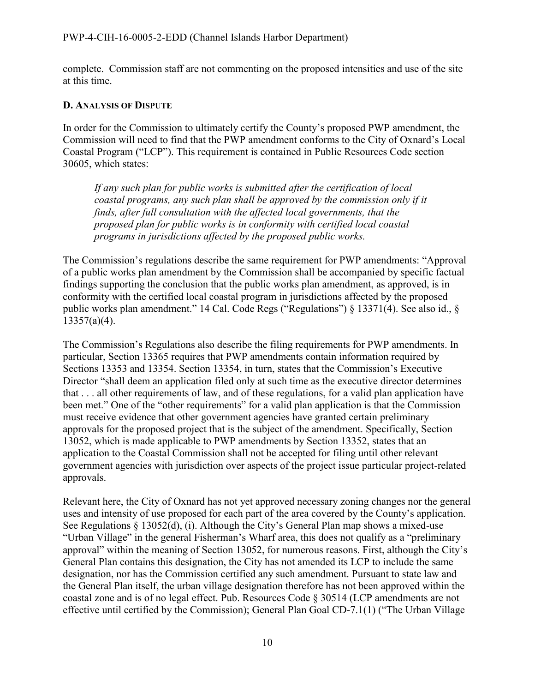complete. Commission staff are not commenting on the proposed intensities and use of the site at this time.

#### <span id="page-9-0"></span>**D. ANALYSIS OF DISPUTE**

In order for the Commission to ultimately certify the County's proposed PWP amendment, the Commission will need to find that the PWP amendment conforms to the City of Oxnard's Local Coastal Program ("LCP"). This requirement is contained in Public Resources Code section 30605, which states:

*If any such plan for public works is submitted after the certification of local coastal programs, any such plan shall be approved by the commission only if it finds, after full consultation with the affected local governments, that the proposed plan for public works is in conformity with certified local coastal programs in jurisdictions affected by the proposed public works.* 

The Commission's regulations describe the same requirement for PWP amendments: "Approval of a public works plan amendment by the Commission shall be accompanied by specific factual findings supporting the conclusion that the public works plan amendment, as approved, is in conformity with the certified local coastal program in jurisdictions affected by the proposed public works plan amendment." 14 Cal. Code Regs ("Regulations") § 13371(4). See also id., § 13357(a)(4).

The Commission's Regulations also describe the filing requirements for PWP amendments. In particular, Section 13365 requires that PWP amendments contain information required by Sections 13353 and 13354. Section 13354, in turn, states that the Commission's Executive Director "shall deem an application filed only at such time as the executive director determines that . . . all other requirements of law, and of these regulations, for a valid plan application have been met." One of the "other requirements" for a valid plan application is that the Commission must receive evidence that other government agencies have granted certain preliminary approvals for the proposed project that is the subject of the amendment. Specifically, Section 13052, which is made applicable to PWP amendments by Section 13352, states that an application to the Coastal Commission shall not be accepted for filing until other relevant government agencies with jurisdiction over aspects of the project issue particular project-related approvals.

Relevant here, the City of Oxnard has not yet approved necessary zoning changes nor the general uses and intensity of use proposed for each part of the area covered by the County's application. See Regulations § 13052(d), (i). Although the City's General Plan map shows a mixed-use "Urban Village" in the general Fisherman's Wharf area, this does not qualify as a "preliminary approval" within the meaning of Section 13052, for numerous reasons. First, although the City's General Plan contains this designation, the City has not amended its LCP to include the same designation, nor has the Commission certified any such amendment. Pursuant to state law and the General Plan itself, the urban village designation therefore has not been approved within the coastal zone and is of no legal effect. Pub. Resources Code § 30514 (LCP amendments are not effective until certified by the Commission); General Plan Goal CD-7.1(1) ("The Urban Village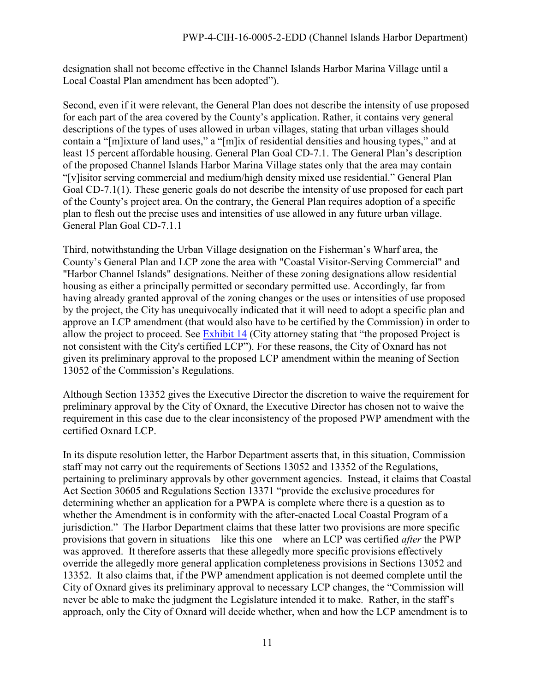designation shall not become effective in the Channel Islands Harbor Marina Village until a Local Coastal Plan amendment has been adopted").

Second, even if it were relevant, the General Plan does not describe the intensity of use proposed for each part of the area covered by the County's application. Rather, it contains very general descriptions of the types of uses allowed in urban villages, stating that urban villages should contain a "[m]ixture of land uses," a "[m]ix of residential densities and housing types," and at least 15 percent affordable housing. General Plan Goal CD-7.1. The General Plan's description of the proposed Channel Islands Harbor Marina Village states only that the area may contain "[v]isitor serving commercial and medium/high density mixed use residential." General Plan Goal CD-7.1(1). These generic goals do not describe the intensity of use proposed for each part of the County's project area. On the contrary, the General Plan requires adoption of a specific plan to flesh out the precise uses and intensities of use allowed in any future urban village. General Plan Goal CD-7.1.1

Third, notwithstanding the Urban Village designation on the Fisherman's Wharf area, the County's General Plan and LCP zone the area with "Coastal Visitor-Serving Commercial" and "Harbor Channel Islands" designations. Neither of these zoning designations allow residential housing as either a principally permitted or secondary permitted use. Accordingly, far from having already granted approval of the zoning changes or the uses or intensities of use proposed by the project, the City has unequivocally indicated that it will need to adopt a specific plan and approve an LCP amendment (that would also have to be certified by the Commission) in order to allow the project to proceed. See [Exhibit 14](https://documents.coastal.ca.gov/reports/2017/9/th10a/th10a-9-2017-exhibits.pdf) (City attorney stating that "the proposed Project is not consistent with the City's certified LCP"). For these reasons, the City of Oxnard has not given its preliminary approval to the proposed LCP amendment within the meaning of Section 13052 of the Commission's Regulations.

Although Section 13352 gives the Executive Director the discretion to waive the requirement for preliminary approval by the City of Oxnard, the Executive Director has chosen not to waive the requirement in this case due to the clear inconsistency of the proposed PWP amendment with the certified Oxnard LCP.

In its dispute resolution letter, the Harbor Department asserts that, in this situation, Commission staff may not carry out the requirements of Sections 13052 and 13352 of the Regulations, pertaining to preliminary approvals by other government agencies. Instead, it claims that Coastal Act Section 30605 and Regulations Section 13371 "provide the exclusive procedures for determining whether an application for a PWPA is complete where there is a question as to whether the Amendment is in conformity with the after-enacted Local Coastal Program of a jurisdiction." The Harbor Department claims that these latter two provisions are more specific provisions that govern in situations—like this one—where an LCP was certified *after* the PWP was approved. It therefore asserts that these allegedly more specific provisions effectively override the allegedly more general application completeness provisions in Sections 13052 and 13352. It also claims that, if the PWP amendment application is not deemed complete until the City of Oxnard gives its preliminary approval to necessary LCP changes, the "Commission will never be able to make the judgment the Legislature intended it to make. Rather, in the staff's approach, only the City of Oxnard will decide whether, when and how the LCP amendment is to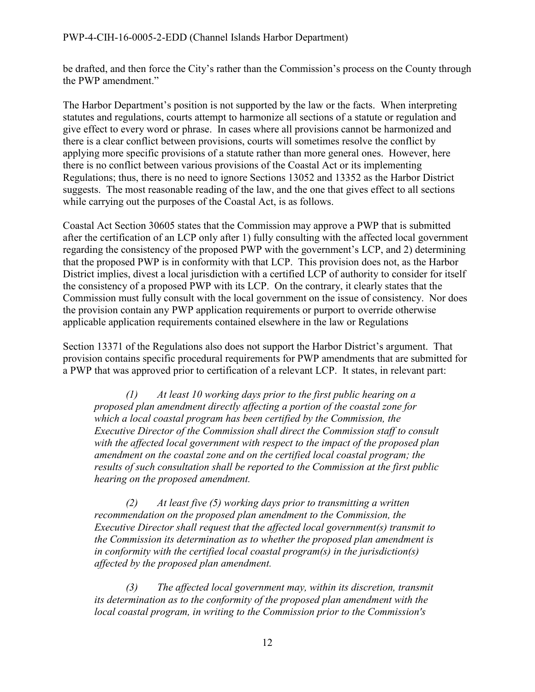be drafted, and then force the City's rather than the Commission's process on the County through the PWP amendment."

The Harbor Department's position is not supported by the law or the facts. When interpreting statutes and regulations, courts attempt to harmonize all sections of a statute or regulation and give effect to every word or phrase. In cases where all provisions cannot be harmonized and there is a clear conflict between provisions, courts will sometimes resolve the conflict by applying more specific provisions of a statute rather than more general ones. However, here there is no conflict between various provisions of the Coastal Act or its implementing Regulations; thus, there is no need to ignore Sections 13052 and 13352 as the Harbor District suggests. The most reasonable reading of the law, and the one that gives effect to all sections while carrying out the purposes of the Coastal Act, is as follows.

Coastal Act Section 30605 states that the Commission may approve a PWP that is submitted after the certification of an LCP only after 1) fully consulting with the affected local government regarding the consistency of the proposed PWP with the government's LCP, and 2) determining that the proposed PWP is in conformity with that LCP. This provision does not, as the Harbor District implies, divest a local jurisdiction with a certified LCP of authority to consider for itself the consistency of a proposed PWP with its LCP. On the contrary, it clearly states that the Commission must fully consult with the local government on the issue of consistency. Nor does the provision contain any PWP application requirements or purport to override otherwise applicable application requirements contained elsewhere in the law or Regulations

Section 13371 of the Regulations also does not support the Harbor District's argument. That provision contains specific procedural requirements for PWP amendments that are submitted for a PWP that was approved prior to certification of a relevant LCP. It states, in relevant part:

*(1) At least 10 working days prior to the first public hearing on a proposed plan amendment directly affecting a portion of the coastal zone for which a local coastal program has been certified by the Commission, the Executive Director of the Commission shall direct the Commission staff to consult with the affected local government with respect to the impact of the proposed plan amendment on the coastal zone and on the certified local coastal program; the results of such consultation shall be reported to the Commission at the first public hearing on the proposed amendment.* 

 *(2) At least five (5) working days prior to transmitting a written recommendation on the proposed plan amendment to the Commission, the Executive Director shall request that the affected local government(s) transmit to the Commission its determination as to whether the proposed plan amendment is in conformity with the certified local coastal program(s) in the jurisdiction(s) affected by the proposed plan amendment.* 

 *(3) The affected local government may, within its discretion, transmit its determination as to the conformity of the proposed plan amendment with the local coastal program, in writing to the Commission prior to the Commission's*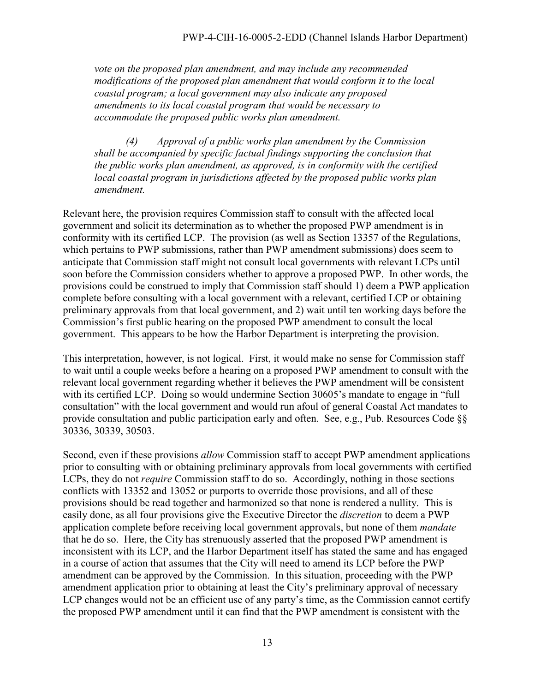*vote on the proposed plan amendment, and may include any recommended modifications of the proposed plan amendment that would conform it to the local coastal program; a local government may also indicate any proposed amendments to its local coastal program that would be necessary to accommodate the proposed public works plan amendment.* 

 *(4) Approval of a public works plan amendment by the Commission shall be accompanied by specific factual findings supporting the conclusion that the public works plan amendment, as approved, is in conformity with the certified local coastal program in jurisdictions affected by the proposed public works plan amendment.* 

Relevant here, the provision requires Commission staff to consult with the affected local government and solicit its determination as to whether the proposed PWP amendment is in conformity with its certified LCP. The provision (as well as Section 13357 of the Regulations, which pertains to PWP submissions, rather than PWP amendment submissions) does seem to anticipate that Commission staff might not consult local governments with relevant LCPs until soon before the Commission considers whether to approve a proposed PWP. In other words, the provisions could be construed to imply that Commission staff should 1) deem a PWP application complete before consulting with a local government with a relevant, certified LCP or obtaining preliminary approvals from that local government, and 2) wait until ten working days before the Commission's first public hearing on the proposed PWP amendment to consult the local government. This appears to be how the Harbor Department is interpreting the provision.

This interpretation, however, is not logical. First, it would make no sense for Commission staff to wait until a couple weeks before a hearing on a proposed PWP amendment to consult with the relevant local government regarding whether it believes the PWP amendment will be consistent with its certified LCP. Doing so would undermine Section 30605's mandate to engage in "full" consultation" with the local government and would run afoul of general Coastal Act mandates to provide consultation and public participation early and often. See, e.g., Pub. Resources Code §§ 30336, 30339, 30503.

Second, even if these provisions *allow* Commission staff to accept PWP amendment applications prior to consulting with or obtaining preliminary approvals from local governments with certified LCPs, they do not *require* Commission staff to do so. Accordingly, nothing in those sections conflicts with 13352 and 13052 or purports to override those provisions, and all of these provisions should be read together and harmonized so that none is rendered a nullity. This is easily done, as all four provisions give the Executive Director the *discretion* to deem a PWP application complete before receiving local government approvals, but none of them *mandate* that he do so. Here, the City has strenuously asserted that the proposed PWP amendment is inconsistent with its LCP, and the Harbor Department itself has stated the same and has engaged in a course of action that assumes that the City will need to amend its LCP before the PWP amendment can be approved by the Commission. In this situation, proceeding with the PWP amendment application prior to obtaining at least the City's preliminary approval of necessary LCP changes would not be an efficient use of any party's time, as the Commission cannot certify the proposed PWP amendment until it can find that the PWP amendment is consistent with the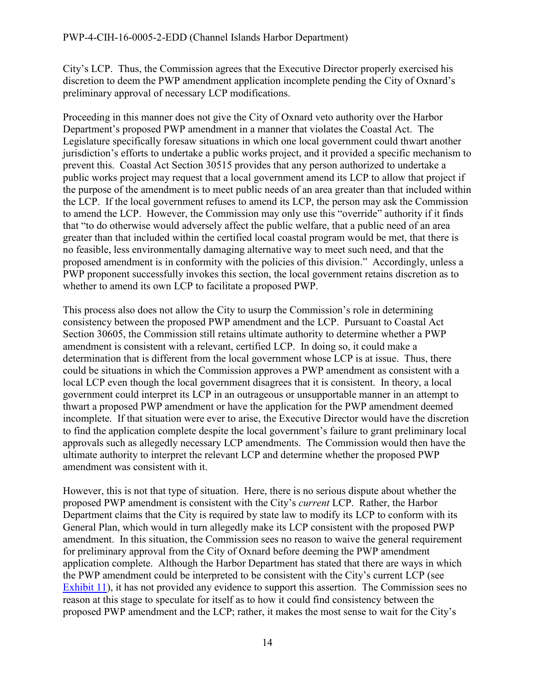City's LCP. Thus, the Commission agrees that the Executive Director properly exercised his discretion to deem the PWP amendment application incomplete pending the City of Oxnard's preliminary approval of necessary LCP modifications.

Proceeding in this manner does not give the City of Oxnard veto authority over the Harbor Department's proposed PWP amendment in a manner that violates the Coastal Act. The Legislature specifically foresaw situations in which one local government could thwart another jurisdiction's efforts to undertake a public works project, and it provided a specific mechanism to prevent this. Coastal Act Section 30515 provides that any person authorized to undertake a public works project may request that a local government amend its LCP to allow that project if the purpose of the amendment is to meet public needs of an area greater than that included within the LCP. If the local government refuses to amend its LCP, the person may ask the Commission to amend the LCP. However, the Commission may only use this "override" authority if it finds that "to do otherwise would adversely affect the public welfare, that a public need of an area greater than that included within the certified local coastal program would be met, that there is no feasible, less environmentally damaging alternative way to meet such need, and that the proposed amendment is in conformity with the policies of this division." Accordingly, unless a PWP proponent successfully invokes this section, the local government retains discretion as to whether to amend its own LCP to facilitate a proposed PWP.

This process also does not allow the City to usurp the Commission's role in determining consistency between the proposed PWP amendment and the LCP. Pursuant to Coastal Act Section 30605, the Commission still retains ultimate authority to determine whether a PWP amendment is consistent with a relevant, certified LCP. In doing so, it could make a determination that is different from the local government whose LCP is at issue. Thus, there could be situations in which the Commission approves a PWP amendment as consistent with a local LCP even though the local government disagrees that it is consistent. In theory, a local government could interpret its LCP in an outrageous or unsupportable manner in an attempt to thwart a proposed PWP amendment or have the application for the PWP amendment deemed incomplete. If that situation were ever to arise, the Executive Director would have the discretion to find the application complete despite the local government's failure to grant preliminary local approvals such as allegedly necessary LCP amendments. The Commission would then have the ultimate authority to interpret the relevant LCP and determine whether the proposed PWP amendment was consistent with it.

However, this is not that type of situation. Here, there is no serious dispute about whether the proposed PWP amendment is consistent with the City's *current* LCP. Rather, the Harbor Department claims that the City is required by state law to modify its LCP to conform with its General Plan, which would in turn allegedly make its LCP consistent with the proposed PWP amendment. In this situation, the Commission sees no reason to waive the general requirement for preliminary approval from the City of Oxnard before deeming the PWP amendment application complete. Although the Harbor Department has stated that there are ways in which the PWP amendment could be interpreted to be consistent with the City's current LCP (see [Exhibit 11\)](https://documents.coastal.ca.gov/reports/2017/9/th10a/th10a-9-2017-exhibits.pdf), it has not provided any evidence to support this assertion. The Commission sees no reason at this stage to speculate for itself as to how it could find consistency between the proposed PWP amendment and the LCP; rather, it makes the most sense to wait for the City's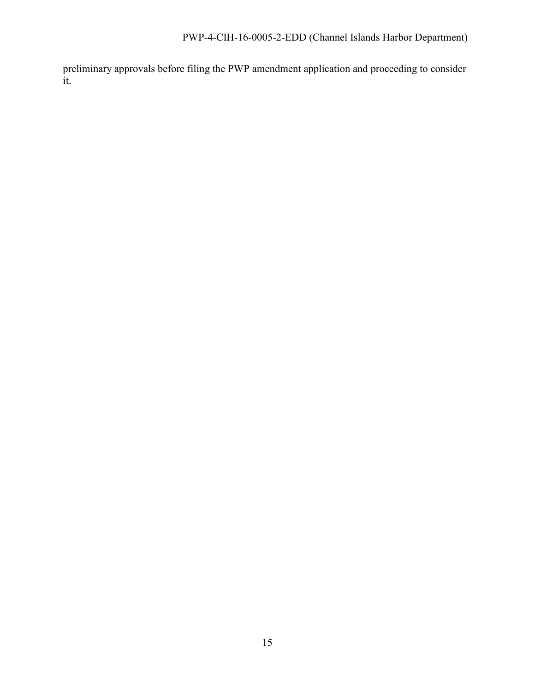preliminary approvals before filing the PWP amendment application and proceeding to consider it.